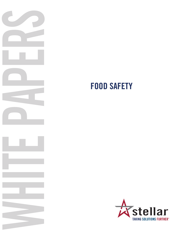

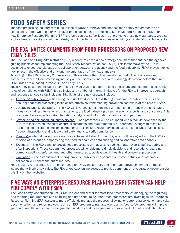# FOOD SAFETY SERIES

The food processing industry continues to look at ways to improve and enhance food safety requirements and compliance. In this white paper, we look at proposed changes for the Food Safety Modernization Act (FSMA) and how Enterprise Resource Planning (ERP) systems can assist facilities in adherence to these new standards. We also explore trends in sanitary equipment design and important considerations when hiring an installation subcontractor.

## THE FDA INVITES COMMENTS FROM FOOD PROCESSORS ON PROPOSED NEW FSMA RULES

The U.S. Food and Drug Administration (FDA) recently released a new strategy document that outlines the agency's guiding principles for implementing the Food Safety Modernization Act (FSMA). This latest move by the FDA is designed to encourage dialogue and collaboration between the agency and the food industry as FSMA moves into its next phase – the effective and efficient implementation of the new standards.

According to the FDA's Deputy Commissioner, "this is where the rubber meets the road." The FDA is seeking comments from the food processing industry on the initiatives outlined in this strategy document before the final FSMA rules are released in late 2015 and early 2016.

The strategy document includes programs to provide greater support to food processors and help them achieve high rates of compliance with FSMA. It also includes a number of internal initiatives for the FDA to improve its outreach and response to food safety incidents. Highlights of the new strategy include:

- Advancing public health Reducing the risk of foodborne illness through modern preventive practices and ensuring that food processing facilities are effectively implementing prevention controls is at the core of FSMA.
- Leveraging and collaborating The FDA will leverage its relationships with outside partners in the food safety industry including international organizations, the food industry, growers, academic experts, and consumers. This component also includes data integration, analysis, and information sharing among partners.
- Strategic and risk-based industry oversight Food processors will be equipped with a tool kit, developed by the FDA, that includes education to ensure expectations and requirements are understood, along with technical assistance to facilitate compliance. Additional tools include regulatory incentives for compliance such as less frequent inspections and reliable third-party audits to verify compliance.
- Planning Internal performance metrics will be established for the FDA, which will be aligned with the FSMA's mission of prevention, emphasizing the need for seamless data sharing and collaborative data analysis.
- **Execution** The FDA plans to provide food processors with access to subject matter experts before, during and after inspections. These streamlined processes will enable more timely decisions and resolutions regarding corrective actions, enforcement, and other measures to achieve public health and consumer protection.
- Evaluation The establishment of program-wide, public health-oriented outcome metrics with systematic collection will benefit the entire industry.

Food industry representatives are encouraged to review the strategy document and provide comment on these issues that will drive new rules. The FDA offers easy online access to provide comment on this strategy document via this link on their website.

## FIVE WAYS AN ENTERPRISE RESOURCE PLANNING (ERP) SYSTEM CAN HELP YOU COMPLY WITH FSMA

The Food Safety Modernization Act (FSMA) is front and center for most food processors yet managing the regulatory and reporting requirements can be taxing and time consuming. Many food processors are investing in an Enterprise Resource Planning (ERP) system to more efficiently manage the process, allowing for better data collection, analysis, documentation, and reporting tools. Using an ERP program to manage your plant's food safety program will improve your audit results, reduce food safety-related incidents and investigations, improve product quality and ultimately

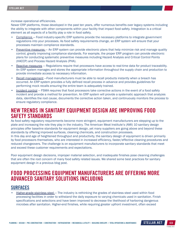increase operational efficiencies.

Newer ERP platforms, those developed in the past ten years, offer numerous benefits over legacy systems including the ability to integrate with other components within your facility that impact food safety. Integration is a critical element as all aspects of a facility play a role in food safety.

- Compliance Food industry-specific ERP systems provide the necessary platforms to integrate government regulations into your processes. As food safety requirements change, an ERP system will ensure that your processes maintain compliance standards.
- Preventive measures An ERP system can provide electronic plans that help minimize risk and manage quality control, greatly improving compliance standards. For example, the proper ERP program can provide electronic plans for conducting systematic preventive measures including Hazard Analysis and Critical Control Points (HACCP) and Process Hazard Analysis (PHA).
- Reactive measures Regulations require that processors have access to real-time data for product traceability. An ERP system manages and stores the appropriate information throughout the supply chain and production to provide immediate access to necessary information.
- Recall management —Food manufacturers must be able to recall products instantly when a breach has occurred. An ERP system provides a fully defined recall process in advance and provides guidelines for performing mock recalls ensuring the entire team is adequately trained.
- Incident control FSMA requires that food processors take corrective actions in the event of a food safety incident and provide a method for prevention. An ERP system will provide a systematic approach that analyzes data, identifies the root cause, documents the corrective action taken, and continuously monitors the process to ensure regulatory compliance.

## NEW TRENDS IN SANITARY EQUIPMENT DESIGN ARE IMPROVING FOOD SAFETY STANDARDS

As food safety regulatory requirements become more stringent, equipment manufacturers are stepping up to the plate and increasing the role they play in the industry. The American Meat Institute's (AMI) 10 sanitary design principles offer baseline standards for equipment design, yet many suppliers are going above and beyond these standards by offering improved surfaces, cleaning chemicals, and construction processes.

In this day and age of heightened throughput and productivity, the sanitary design of equipment is driven primarily by food processors themselves, who are interested in increased efficiency, faster/effective cleaning procedures and reduced changeovers. The challenge is on equipment manufacturers to incorporate sanitary standards that meet and exceed these customer requirements and expectations.

Poor equipment design decisions, improper material selection, and inadequate finishes pose cleaning challenges that are often the root concern of many food safety related issues. We shared some best practices for sanitary equipment design in a previous blog post.

## FOOD PROCESSING EQUIPMENT MANUFACTURERS ARE OFFERING MORE ADVANCED SANITARY SOLUTIONS INCLUDING

### SURFACES

• Higher-grade stainless steel — The industry is rethinking the grades of stainless steel used within food processing facilities in order to withstand the daily exposure to varying chemicals used in sanitation. Finish specifications and selections and have been improved to decrease the likelihood of harboring dangerous microbes after sanitation. Higher-end finishes, while requiring greater upfront investment, often exceed

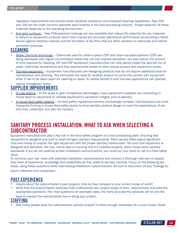regulatory requirements and provide better bacterial resistance and improved cleaning capabilities. Type 304 and 316 are the most common stainless steel finishes in the food processing industry. Proper selection of these materials depends on the operating environment.

• Anti-stick surfaces — New FDA-approved coatings are now available that reduce the potential for raw materials to adhere to equipment surfaces which help improve pre and post operational performance by providing a better barrier against bacteria colonies and the formation of bio films that are often resistant to chemicals and inferior

sanitation practices.

#### CLEANING

- Better chemical technology Chemicals used for clean-in-place (CIP) and clean-out-place stations (COP) are being developed with higher concentration levels that not only improve sanitation, but also reduce the amount of time required for cleaning. CIP and COP equipment manufacturers can help plants create the optimal mix of water, chemicals, temperature and flow requirements based on their unique product and equipment needs.
- Tool-less equipment Equipment manufacturers are designing products that do not require additional tools for maintenance and cleaning. This eliminates the need for another product to come into contact with equipment when it has to be taken apart for cleaning or repair. An added benefit is that tool-less applications can typically

#### reduce changeover times. SUPPLIER IMPROVEMENTS

- On-site testing In the quest to gain competitive advantages, many equipment suppliers are conducting inhouse tests on equipment to validate equipment's sanitation integrity prior to delivery.
- In-house food safety experts As food safety regulations become increasingly complex, manufacturers are more frequently forming in-house food safety teams to drive sanitary product design to meet the expectations of not only their customers, but also the industry.

### SANITARY PROCESS INSTALLATION: WHAT TO ASK WHEN SELECTING A **SUBCONTRACTOR**

Equipment manufacturers play a key role in the food safety program of a food processing plant, ensuring that equipment is designed and built to meet stringent sanitary requirements. Plant owners often spend significant time and money to acquire the right equipment with the proper sanitary construction. Yet once that equipment is designed and delivered, the next critical step is ensuring that it's installed properly, within those same sanitary standards. If you do not carefully screen installation subcontractors, you could put your plant at risk of a food safety issue.

To minimize your risk, meet with potential installation subcontractors and conduct a thorough interview to assess their level of experience, knowledge and credentials as they relate to sanitary controls. Focus on the following key areas, using these questions while interviewing installation subcontractors. Be sure to document all your findings for future reference and comparison.

#### PAST EXPERIENCE

- Inquire about the subcontractor's past projects. How do they compare to your current scope of work?
- Verify that the Subcontractor estimator fully understands your project scope of work, requirements and asks the appropriate questions. The more questions an estimator asks, the more accurate the estimate will be and the level of interest the subcontractor has in doing your project.

### STAFFING

• How many people does the subcontractor actively employ? Is there enough manpower for crunch times? Avoid

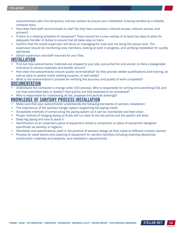subcontractors who hire temporary, sub-tier workers to ensure your installation is being handled by a reliable, cohesive team.

- How does field staff communicate on site? Do they have computers, Internet access, network access, and printers?
- If there is a rotating schedule of manpower? There should be a crew overlap of at least two days to allow for adequate transfer of duties to ensure that all tasks stay on track.
- Confirm that the onsite supervisor will focus on managing the crew and not doing the actual work. The supervisor should be monitoring crew members, looking at work in progress, and verifying installation for quality standards.
- Obtain supervisor and staff resumes for your files.

### INSTALLATION

- Find out how subcontractor materials are shipped to your site, accounted for and stored. Is there a designated individual to receive materials and handle returns?
- How does the subcontractor ensure quality workmanship? Do they provide welder qualifications and training, as well as daily or weekly onsite welding coupons, or test welds?
- What is the subcontractor's process for verifying the accuracy and quality of work completed?

### **DOCUMENTATION**

- Understand the contractor's change order (CO) process. Who is responsible for writing and submitting COs and are they submitted daily or weekly? How quickly are COs expected to be completed?
- Who is responsible for maintaining all bid, proposal and as-built drawings?

### KNOWLEDGE OF SANITARY PROCESS INSTALLATION

- Make sure that your subcontractor understands the following standards of sanitary installation:
- The importance of the sanitary hanger system supporting the piping install
- Acceptable methods of constructing the piping system so it can be maintained and kept clean
- Proper method of hanging piping so fluids will run back to the low points and the system will drain
- Dead leg piping and how to avoid it
- Identification of an unsanitary piece of equipment verses a component or piece of equipment designed specifically as sanitary or hygienic
- Standards and specifications used in the practice of sanitary design as they relate to different industry sectors
- Process for wash downs and cleaning of equipment for sanitary facilities including cleaning clearances, construction materials and sealants, and installation requirements.